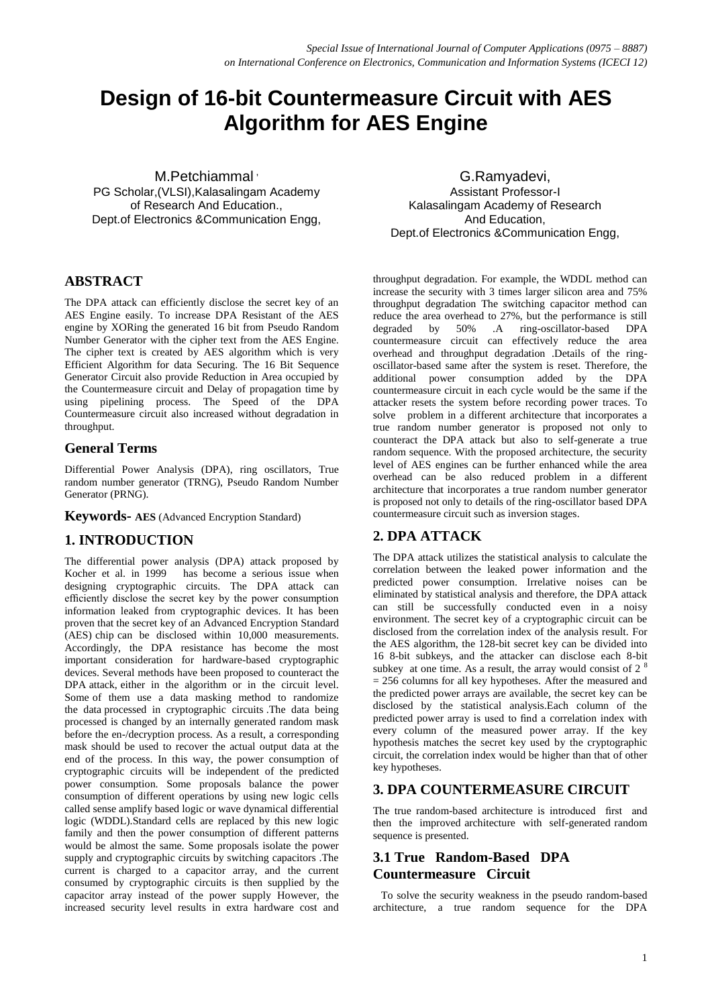# **Design of 16-bit Countermeasure Circuit with AES Algorithm for AES Engine**

M.Petchiammal<sup>,</sup> PG Scholar, (VLSI), Kalasalingam Academy of Research And Education., Dept.of Electronics &Communication Engg,

# **ABSTRACT**

The DPA attack can efficiently disclose the secret key of an AES Engine easily. To increase DPA Resistant of the AES engine by XORing the generated 16 bit from Pseudo Random Number Generator with the cipher text from the AES Engine. The cipher text is created by AES algorithm which is very Efficient Algorithm for data Securing. The 16 Bit Sequence Generator Circuit also provide Reduction in Area occupied by the Countermeasure circuit and Delay of propagation time by using pipelining process. The Speed of the DPA Countermeasure circuit also increased without degradation in throughput.

# **General Terms**

Differential Power Analysis (DPA), ring oscillators, True random number generator (TRNG), Pseudo Random Number Generator (PRNG).

**Keywords- AES** (Advanced Encryption Standard)

# **1. INTRODUCTION**

The differential power analysis (DPA) attack proposed by Kocher et al. in 1999 has become a serious issue when designing cryptographic circuits. The DPA attack can efficiently disclose the secret key by the power consumption information leaked from cryptographic devices. It has been proven that the secret key of an Advanced Encryption Standard (AES) chip can be disclosed within 10,000 measurements. Accordingly, the DPA resistance has become the most important consideration for hardware-based cryptographic devices. Several methods have been proposed to counteract the DPA attack, either in the algorithm or in the circuit level. Some of them use a data masking method to randomize the data processed in cryptographic circuits .The data being processed is changed by an internally generated random mask before the en-/decryption process. As a result, a corresponding mask should be used to recover the actual output data at the end of the process. In this way, the power consumption of cryptographic circuits will be independent of the predicted power consumption. Some proposals balance the power consumption of different operations by using new logic cells called sense amplify based logic or wave dynamical differential logic (WDDL).Standard cells are replaced by this new logic family and then the power consumption of different patterns would be almost the same. Some proposals isolate the power supply and cryptographic circuits by switching capacitors .The current is charged to a capacitor array, and the current consumed by cryptographic circuits is then supplied by the capacitor array instead of the power supply However, the increased security level results in extra hardware cost and

G.Ramyadevi, Assistant Professor-I Kalasalingam Academy of Research And Education, Dept.of Electronics &Communication Engg,

throughput degradation. For example, the WDDL method can increase the security with 3 times larger silicon area and 75% throughput degradation The switching capacitor method can reduce the area overhead to 27%, but the performance is still degraded by 50% .A ring-oscillator-based DPA countermeasure circuit can effectively reduce the area overhead and throughput degradation .Details of the ringoscillator-based same after the system is reset. Therefore, the additional power consumption added by the DPA countermeasure circuit in each cycle would be the same if the attacker resets the system before recording power traces. To solve problem in a different architecture that incorporates a true random number generator is proposed not only to counteract the DPA attack but also to self-generate a true random sequence. With the proposed architecture, the security level of AES engines can be further enhanced while the area overhead can be also reduced problem in a different architecture that incorporates a true random number generator is proposed not only to details of the ring-oscillator based DPA countermeasure circuit such as inversion stages.

# **2. DPA ATTACK**

The DPA attack utilizes the statistical analysis to calculate the correlation between the leaked power information and the predicted power consumption. Irrelative noises can be eliminated by statistical analysis and therefore, the DPA attack can still be successfully conducted even in a noisy environment. The secret key of a cryptographic circuit can be disclosed from the correlation index of the analysis result. For the AES algorithm, the 128-bit secret key can be divided into 16 8-bit subkeys, and the attacker can disclose each 8-bit subkey at one time. As a result, the array would consist of  $2<sup>8</sup>$  $= 256$  columns for all key hypotheses. After the measured and the predicted power arrays are available, the secret key can be disclosed by the statistical analysis.Each column of the predicted power array is used to find a correlation index with every column of the measured power array. If the key hypothesis matches the secret key used by the cryptographic circuit, the correlation index would be higher than that of other key hypotheses.

# **3. DPA COUNTERMEASURE CIRCUIT**

The true random-based architecture is introduced first and then the improved architecture with self-generated random sequence is presented.

# **3.1 True Random-Based DPA Countermeasure Circuit**

 To solve the security weakness in the pseudo random-based architecture, a true random sequence for the DPA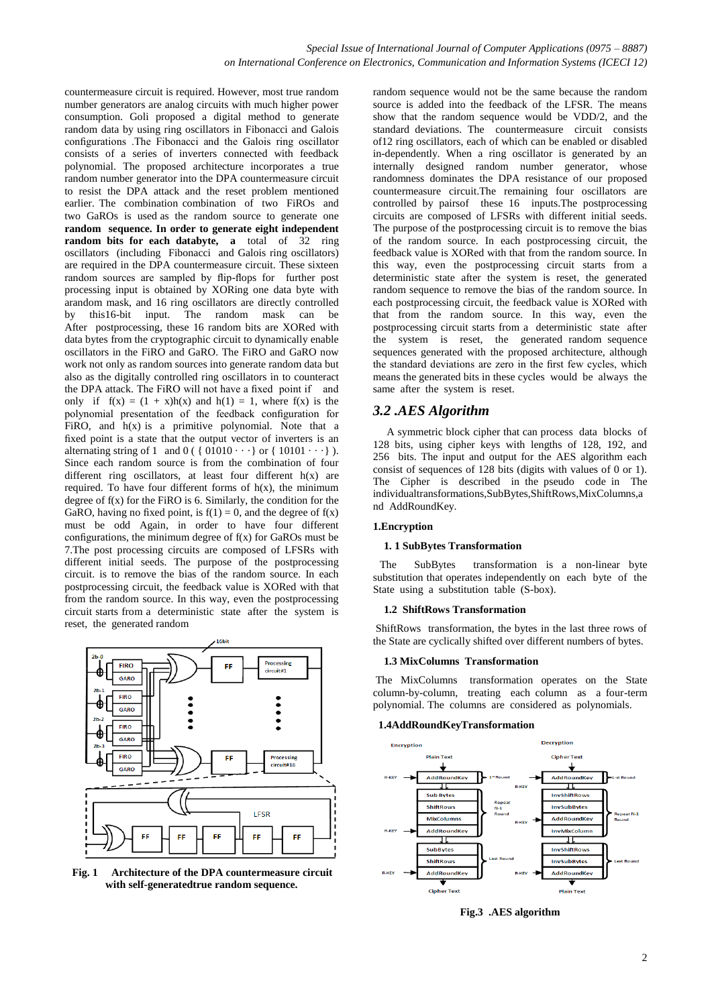countermeasure circuit is required. However, most true random number generators are analog circuits with much higher power consumption. Goli proposed a digital method to generate random data by using ring oscillators in Fibonacci and Galois configurations .The Fibonacci and the Galois ring oscillator consists of a series of inverters connected with feedback polynomial. The proposed architecture incorporates a true random number generator into the DPA countermeasure circuit to resist the DPA attack and the reset problem mentioned earlier. The combination combination of two FiROs and two GaROs is used as the random source to generate one **random sequence. In order to generate eight independent random bits for each databyte, a** total of 32 ring oscillators (including Fibonacci and Galois ring oscillators) are required in the DPA countermeasure circuit. These sixteen random sources are sampled by flip-flops for further post processing input is obtained by XORing one data byte with arandom mask, and 16 ring oscillators are directly controlled by this16-bit input. The random mask can be After postprocessing, these 16 random bits are XORed with data bytes from the cryptographic circuit to dynamically enable oscillators in the FiRO and GaRO. The FiRO and GaRO now work not only as random sources into generate random data but also as the digitally controlled ring oscillators in to counteract the DPA attack. The FiRO will not have a fixed point if and only if  $f(x) = (1 + x)h(x)$  and  $h(1) = 1$ , where  $f(x)$  is the polynomial presentation of the feedback configuration for FiRO, and  $h(x)$  is a primitive polynomial. Note that a fixed point is a state that the output vector of inverters is an alternating string of 1 and  $0$  ( {  $01010 \cdot \cdot \cdot$  } or {  $10101 \cdot \cdot \cdot$  } ). Since each random source is from the combination of four different ring oscillators, at least four different h(x) are required. To have four different forms of  $h(x)$ , the minimum degree of  $f(x)$  for the FiRO is 6. Similarly, the condition for the GaRO, having no fixed point, is  $f(1) = 0$ , and the degree of  $f(x)$ must be odd Again, in order to have four different configurations, the minimum degree of  $f(x)$  for GaROs must be 7.The post processing circuits are composed of LFSRs with different initial seeds. The purpose of the postprocessing circuit. is to remove the bias of the random source. In each postprocessing circuit, the feedback value is XORed with that from the random source. In this way, even the postprocessing circuit starts from a deterministic state after the system is reset, the generated random



**Fig. 1 Architecture of the DPA countermeasure circuit with self-generatedtrue random sequence.**

random sequence would not be the same because the random source is added into the feedback of the LFSR. The means show that the random sequence would be VDD/2, and the standard deviations. The countermeasure circuit consists of12 ring oscillators, each of which can be enabled or disabled in-dependently. When a ring oscillator is generated by an internally designed random number generator, whose randomness dominates the DPA resistance of our proposed countermeasure circuit.The remaining four oscillators are controlled by pairsof these 16 inputs.The postprocessing circuits are composed of LFSRs with different initial seeds. The purpose of the postprocessing circuit is to remove the bias of the random source. In each postprocessing circuit, the feedback value is XORed with that from the random source. In this way, even the postprocessing circuit starts from a deterministic state after the system is reset, the generated random sequence to remove the bias of the random source. In each postprocessing circuit, the feedback value is XORed with that from the random source. In this way, even the postprocessing circuit starts from a deterministic state after the system is reset, the generated random sequence sequences generated with the proposed architecture, although the standard deviations are zero in the first few cycles, which means the generated bits in these cycles would be always the same after the system is reset.

### *3.2 .AES Algorithm*

 A symmetric block cipher that can process data blocks of 128 bits, using cipher keys with lengths of 128, 192, and 256 bits. The input and output for the AES algorithm each consist of sequences of 128 bits (digits with values of 0 or 1). The Cipher is described in the pseudo code in The individualtransformations,SubBytes,ShiftRows,MixColumns,a nd AddRoundKey.

#### **1.Encryption**

#### **1. 1 SubBytes Transformation**

The SubBytes transformation is a non-linear byte substitution that operates independently on each byte of the State using a substitution table (S-box).

#### **1.2 ShiftRows Transformation**

ShiftRows transformation, the bytes in the last three rows of the State are cyclically shifted over different numbers of bytes.

#### **1.3 MixColumns Transformation**

The MixColumns transformation operates on the State column-by-column, treating each column as a four-term polynomial. The columns are considered as polynomials.

#### **1.4AddRoundKeyTransformation**



**Fig.3 .AES algorithm**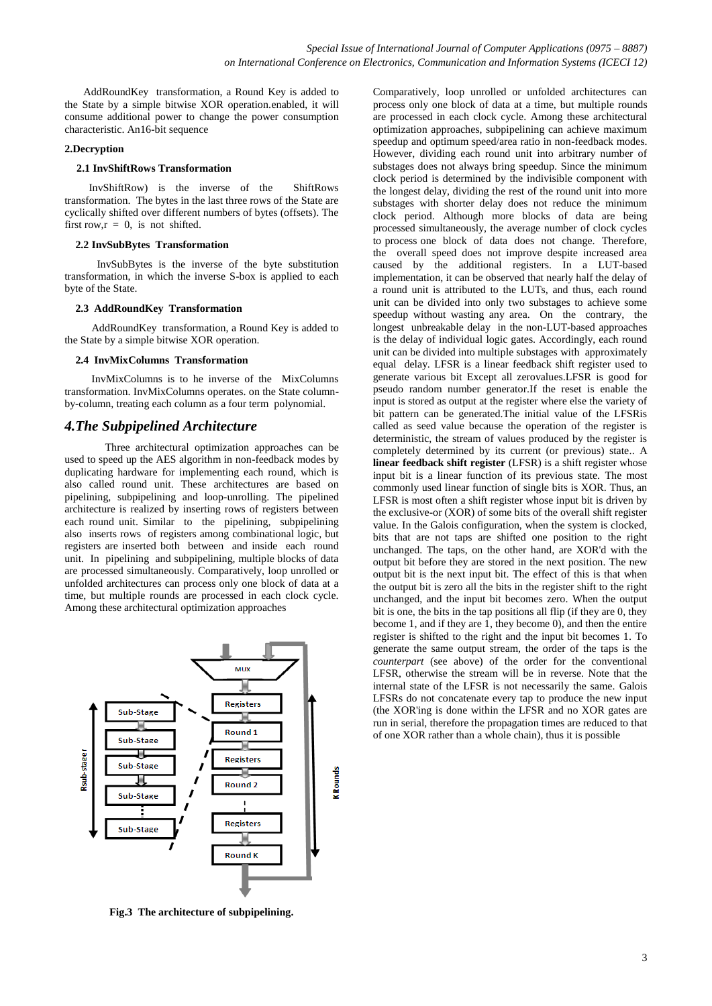AddRoundKey transformation, a Round Key is added to the State by a simple bitwise XOR operation.enabled, it will consume additional power to change the power consumption characteristic. An16-bit sequence

#### **2.Decryption**

#### **2.1 InvShiftRows Transformation**

 InvShiftRow) is the inverse of the ShiftRows transformation. The bytes in the last three rows of the State are cyclically shifted over different numbers of bytes (offsets). The first row, $r = 0$ , is not shifted.

#### **2.2 InvSubBytes Transformation**

 InvSubBytes is the inverse of the byte substitution transformation, in which the inverse S-box is applied to each byte of the State.

#### **2.3 AddRoundKey Transformation**

AddRoundKey transformation, a Round Key is added to the State by a simple bitwise XOR operation.

#### **2.4 InvMixColumns Transformation**

 InvMixColumns is to he inverse of the MixColumns transformation. InvMixColumns operates. on the State columnby-column, treating each column as a four term polynomial.

#### *4.The Subpipelined Architecture*

 Three architectural optimization approaches can be used to speed up the AES algorithm in non-feedback modes by duplicating hardware for implementing each round, which is also called round unit. These architectures are based on pipelining, subpipelining and loop-unrolling. The pipelined architecture is realized by inserting rows of registers between each round unit. Similar to the pipelining, subpipelining also inserts rows of registers among combinational logic, but registers are inserted both between and inside each round unit. In pipelining and subpipelining, multiple blocks of data are processed simultaneously. Comparatively, loop unrolled or unfolded architectures can process only one block of data at a time, but multiple rounds are processed in each clock cycle. Among these architectural optimization approaches



**Fig.3 The architecture of subpipelining.**

Comparatively, loop unrolled or unfolded architectures can process only one block of data at a time, but multiple rounds are processed in each clock cycle. Among these architectural optimization approaches, subpipelining can achieve maximum speedup and optimum speed/area ratio in non-feedback modes. However, dividing each round unit into arbitrary number of substages does not always bring speedup. Since the minimum clock period is determined by the indivisible component with the longest delay, dividing the rest of the round unit into more substages with shorter delay does not reduce the minimum clock period. Although more blocks of data are being processed simultaneously, the average number of clock cycles to process one block of data does not change. Therefore, the overall speed does not improve despite increased area caused by the additional registers. In a LUT-based implementation, it can be observed that nearly half the delay of a round unit is attributed to the LUTs, and thus, each round unit can be divided into only two substages to achieve some speedup without wasting any area. On the contrary, the longest unbreakable delay in the non-LUT-based approaches is the delay of individual logic gates. Accordingly, each round unit can be divided into multiple substages with approximately equal delay. LFSR is a linear feedback shift register used to generate various bit Except all zerovalues.LFSR is good for pseudo random number generator.If the reset is enable the input is stored as output at the register where else the variety of bit pattern can be generated.The initial value of the LFSRis called as seed value because the operation of the register is deterministic, the stream of values produced by the register is completely determined by its current (or previous) state.. A **linear feedback shift register** (LFSR) is a shift register whose input bit is a linear function of its previous state. The most commonly used linear function of single bits is XOR. Thus, an LFSR is most often a shift register whose input bit is driven by the exclusive-or (XOR) of some bits of the overall shift register value. In the Galois configuration, when the system is clocked, bits that are not taps are shifted one position to the right unchanged. The taps, on the other hand, are XOR'd with the output bit before they are stored in the next position. The new output bit is the next input bit. The effect of this is that when the output bit is zero all the bits in the register shift to the right unchanged, and the input bit becomes zero. When the output bit is one, the bits in the tap positions all flip (if they are 0, they become 1, and if they are 1, they become 0), and then the entire register is shifted to the right and the input bit becomes 1. To generate the same output stream, the order of the taps is the *counterpart* (see above) of the order for the conventional LFSR, otherwise the stream will be in reverse. Note that the internal state of the LFSR is not necessarily the same. Galois LFSRs do not concatenate every tap to produce the new input (the XOR'ing is done within the LFSR and no XOR gates are run in serial, therefore the propagation times are reduced to that of one XOR rather than a whole chain), thus it is possible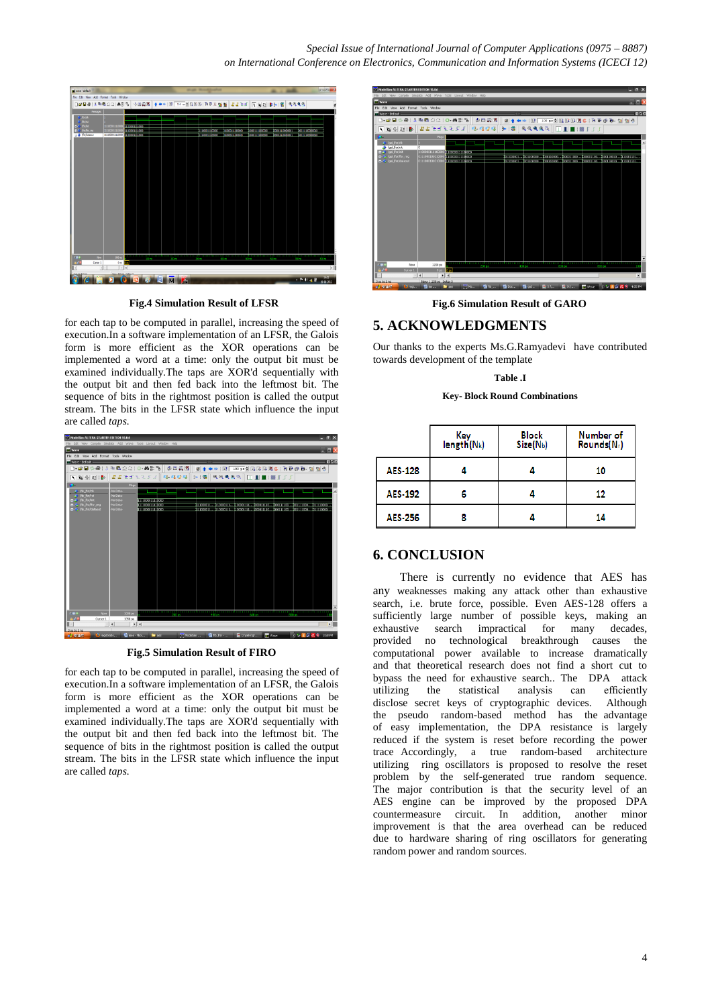*Special Issue of International Journal of Computer Applications (0975 – 8887) on International Conference on Electronics, Communication and Information Systems (ICECI 12)*



**Fig.4 Simulation Result of LFSR**

for each tap to be computed in parallel, increasing the speed of execution.In a software implementation of an LFSR, the Galois form is more efficient as the XOR operations can be implemented a word at a time: only the output bit must be examined individually.The taps are XOR'd sequentially with the output bit and then fed back into the leftmost bit. The sequence of bits in the rightmost position is called the output stream. The bits in the LFSR state which influence the input are called *taps.*



**Fig.5 Simulation Result of FIRO**

for each tap to be computed in parallel, increasing the speed of execution.In a software implementation of an LFSR, the Galois form is more efficient as the XOR operations can be implemented a word at a time: only the output bit must be examined individually.The taps are XOR'd sequentially with the output bit and then fed back into the leftmost bit. The sequence of bits in the rightmost position is called the output stream. The bits in the LFSR state which influence the input are called *taps.*



**Fig.6 Simulation Result of GARO**

### **5. ACKNOWLEDGMENTS**

Our thanks to the experts Ms.G.Ramyadevi have contributed towards development of the template

# **Table .I**

**Key- Block Round Combinations**

|                | Key<br>$length(N_k)$ | <b>Block</b><br>Size(N <sub>b</sub> ) | Number of<br>Rounds(Nr) |
|----------------|----------------------|---------------------------------------|-------------------------|
| <b>AES-128</b> |                      |                                       | 10                      |
| <b>AES-192</b> |                      |                                       | 12                      |
| <b>AES-256</b> |                      |                                       | 14                      |

### **6. CONCLUSION**

There is currently no evidence that AES has any weaknesses making any attack other than exhaustive search, i.e. brute force, possible. Even AES-128 offers a sufficiently large number of possible keys, making an exhaustive search impractical for many decades, provided no technological breakthrough causes the computational power available to increase dramatically and that theoretical research does not find a short cut to bypass the need for exhaustive search.. The DPA attack utilizing the statistical analysis can efficiently disclose secret keys of cryptographic devices. Although the pseudo random-based method has the advantage of easy implementation, the DPA resistance is largely reduced if the system is reset before recording the power trace Accordingly, a true random-based architecture utilizing ring oscillators is proposed to resolve the reset problem by the self-generated true random sequence. The major contribution is that the security level of an AES engine can be improved by the proposed DPA countermeasure circuit. In addition, another minor improvement is that the area overhead can be reduced due to hardware sharing of ring oscillators for generating random power and random sources.